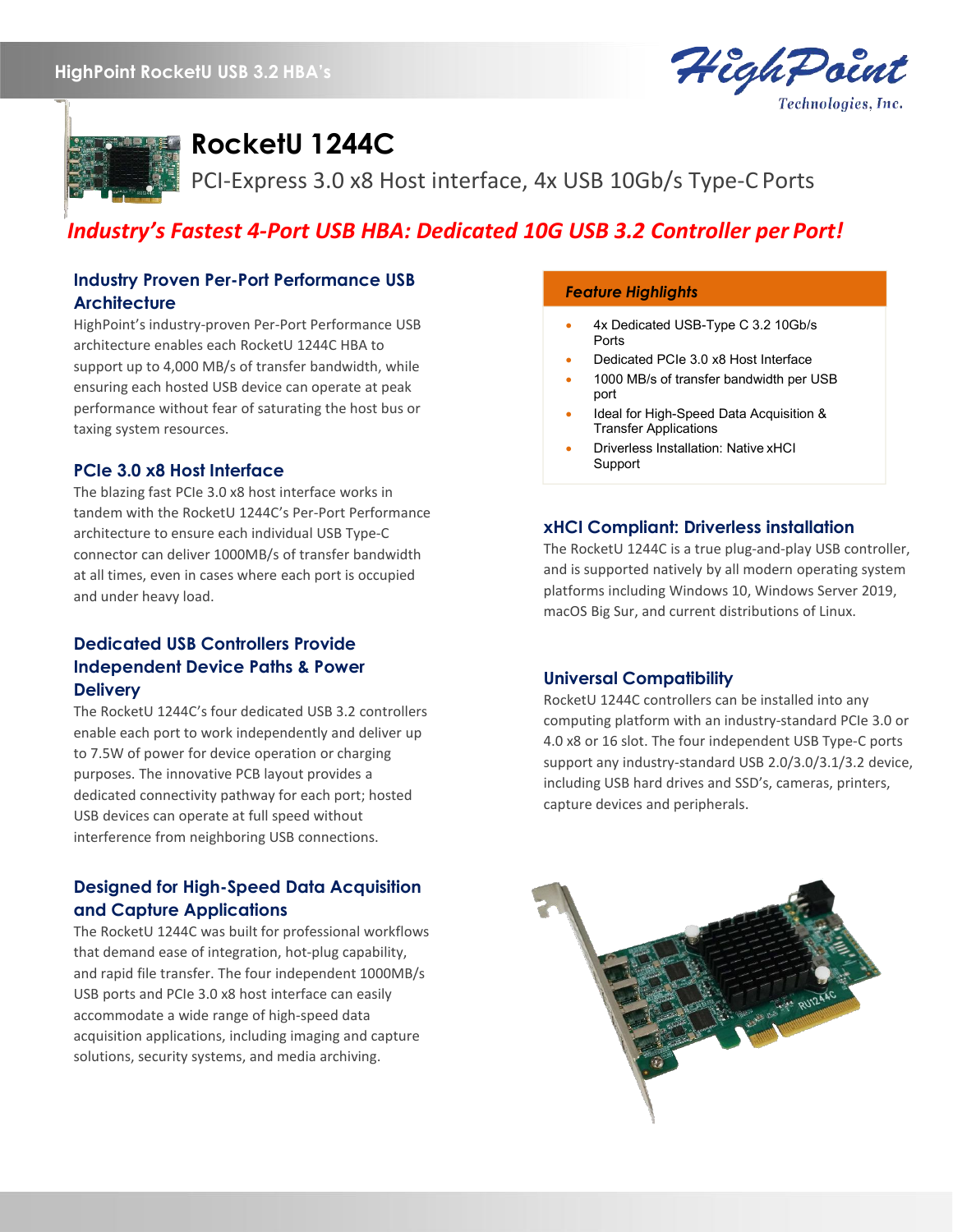# **HighPoint RocketU USB 3.2 HBA's**





**RocketU 1244C**

PCI-Express 3.0 x8 Host interface, 4x USB 10Gb/s Type-C Ports

# *Industry's Fastest 4-Port USB HBA: Dedicated 10G USB 3.2 Controller per Port!*

# **Industry Proven Per-Port Performance USB Architecture**

HighPoint's industry-proven Per-Port Performance USB architecture enables each RocketU 1244C HBA to support up to 4,000 MB/s of transfer bandwidth, while ensuring each hosted USB device can operate at peak performance without fear of saturating the host bus or taxing system resources.

# **PCIe 3.0 x8 Host Interface**

The blazing fast PCIe 3.0 x8 host interface works in tandem with the RocketU 1244C's Per-Port Performance architecture to ensure each individual USB Type-C connector can deliver 1000MB/s of transfer bandwidth at all times, even in cases where each port is occupied and under heavy load.

# **Dedicated USB Controllers Provide Independent Device Paths & Power Delivery**

The RocketU 1244C's four dedicated USB 3.2 controllers enable each port to work independently and deliver up to 7.5W of power for device operation or charging purposes. The innovative PCB layout provides a dedicated connectivity pathway for each port; hosted USB devices can operate at full speed without interference from neighboring USB connections.

# **Designed for High-Speed Data Acquisition and Capture Applications**

The RocketU 1244C was built for professional workflows that demand ease of integration, hot-plug capability, and rapid file transfer. The four independent 1000MB/s USB ports and PCIe 3.0 x8 host interface can easily accommodate a wide range of high-speed data acquisition applications, including imaging and capture solutions, security systems, and media archiving.

### *Feature Highlights*

- 4x Dedicated USB-Type C 3.2 10Gb/s Ports
- Dedicated PCIe 3.0 x8 Host Interface
- 1000 MB/s of transfer bandwidth per USB port
- Ideal for High-Speed Data Acquisition & Transfer Applications
- Driverless Installation: Native xHCI Support

# **xHCI Compliant: Driverless installation**

The RocketU 1244C is a true plug-and-play USB controller, and is supported natively by all modern operating system platforms including Windows 10, Windows Server 2019, macOS Big Sur, and current distributions of Linux.

### **Universal Compatibility**

RocketU 1244C controllers can be installed into any computing platform with an industry-standard PCIe 3.0 or 4.0 x8 or 16 slot. The four independent USB Type-C ports support any industry-standard USB 2.0/3.0/3.1/3.2 device, including USB hard drives and SSD's, cameras, printers, capture devices and peripherals.

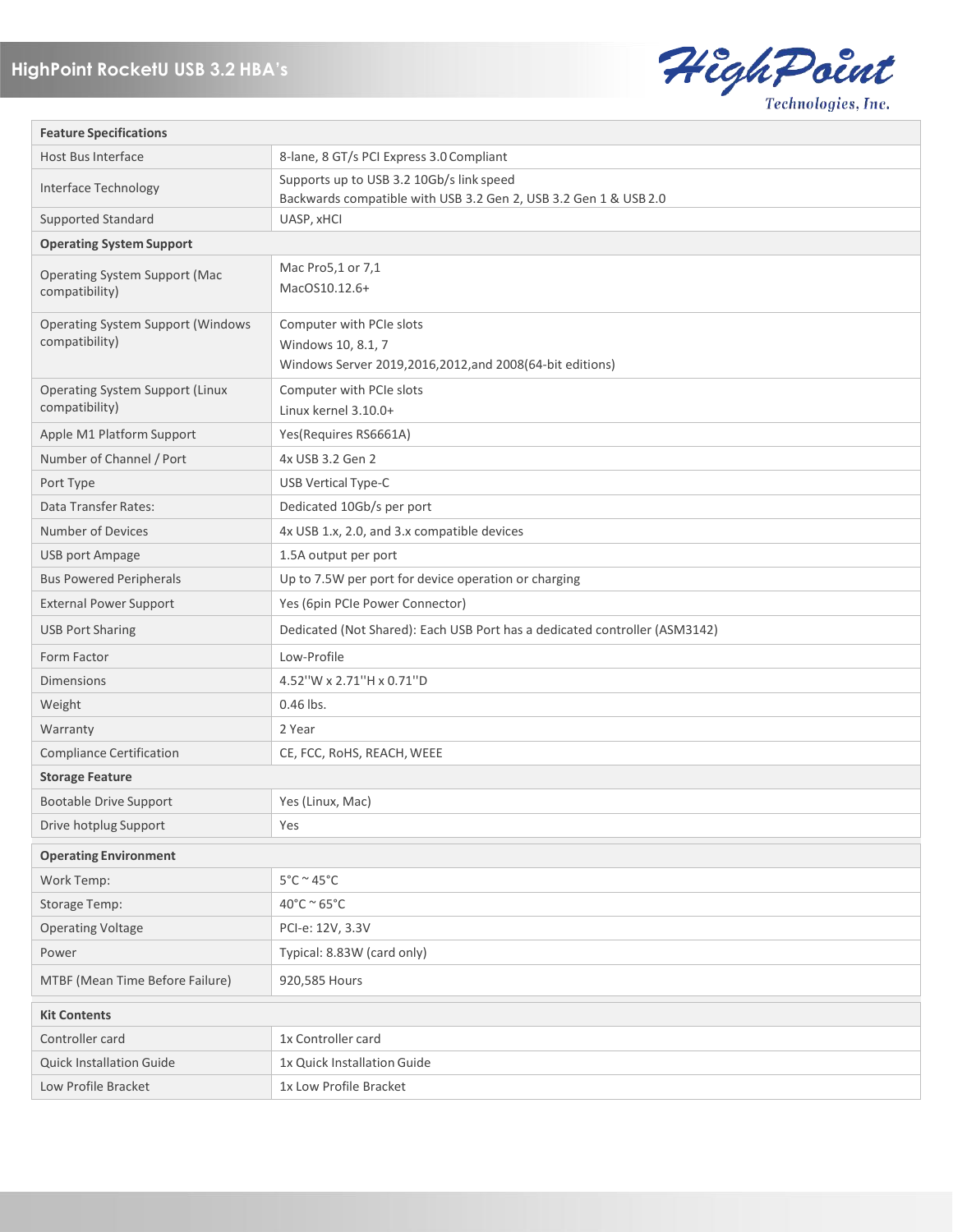

| <b>Feature Specifications</b>                              |                                                                                                              |
|------------------------------------------------------------|--------------------------------------------------------------------------------------------------------------|
| Host Bus Interface                                         | 8-lane, 8 GT/s PCI Express 3.0 Compliant                                                                     |
| Interface Technology                                       | Supports up to USB 3.2 10Gb/s link speed<br>Backwards compatible with USB 3.2 Gen 2, USB 3.2 Gen 1 & USB 2.0 |
| <b>Supported Standard</b>                                  | UASP, xHCl                                                                                                   |
| <b>Operating System Support</b>                            |                                                                                                              |
| <b>Operating System Support (Mac</b><br>compatibility)     | Mac Pro5,1 or 7,1<br>MacOS10.12.6+                                                                           |
| <b>Operating System Support (Windows</b><br>compatibility) | Computer with PCIe slots<br>Windows 10, 8.1, 7<br>Windows Server 2019,2016,2012,and 2008(64-bit editions)    |
| <b>Operating System Support (Linux</b><br>compatibility)   | Computer with PCIe slots<br>Linux kernel 3.10.0+                                                             |
| Apple M1 Platform Support                                  | Yes(Requires RS6661A)                                                                                        |
| Number of Channel / Port                                   | 4x USB 3.2 Gen 2                                                                                             |
| Port Type                                                  | <b>USB Vertical Type-C</b>                                                                                   |
| Data Transfer Rates:                                       | Dedicated 10Gb/s per port                                                                                    |
| Number of Devices                                          | 4x USB 1.x, 2.0, and 3.x compatible devices                                                                  |
| <b>USB port Ampage</b>                                     | 1.5A output per port                                                                                         |
| <b>Bus Powered Peripherals</b>                             | Up to 7.5W per port for device operation or charging                                                         |
| <b>External Power Support</b>                              | Yes (6pin PCIe Power Connector)                                                                              |
| <b>USB Port Sharing</b>                                    | Dedicated (Not Shared): Each USB Port has a dedicated controller (ASM3142)                                   |
| Form Factor                                                | Low-Profile                                                                                                  |
| <b>Dimensions</b>                                          | 4.52"W x 2.71"H x 0.71"D                                                                                     |
| Weight                                                     | 0.46 lbs.                                                                                                    |
| Warranty                                                   | 2 Year                                                                                                       |
| <b>Compliance Certification</b>                            | CE, FCC, RoHS, REACH, WEEE                                                                                   |
| <b>Storage Feature</b>                                     |                                                                                                              |
| <b>Bootable Drive Support</b>                              | Yes (Linux, Mac)                                                                                             |
| Drive hotplug Support                                      | Yes                                                                                                          |
| <b>Operating Environment</b>                               |                                                                                                              |
| Work Temp:                                                 | $5^{\circ}$ C ~ 45 $^{\circ}$ C                                                                              |
| Storage Temp:                                              | $40^{\circ}$ C ~ 65 $^{\circ}$ C                                                                             |
| <b>Operating Voltage</b>                                   | PCI-e: 12V, 3.3V                                                                                             |
| Power                                                      | Typical: 8.83W (card only)                                                                                   |
| MTBF (Mean Time Before Failure)                            | 920,585 Hours                                                                                                |
| <b>Kit Contents</b>                                        |                                                                                                              |
| Controller card                                            | 1x Controller card                                                                                           |
| <b>Quick Installation Guide</b>                            | 1x Quick Installation Guide                                                                                  |
| Low Profile Bracket                                        | 1x Low Profile Bracket                                                                                       |